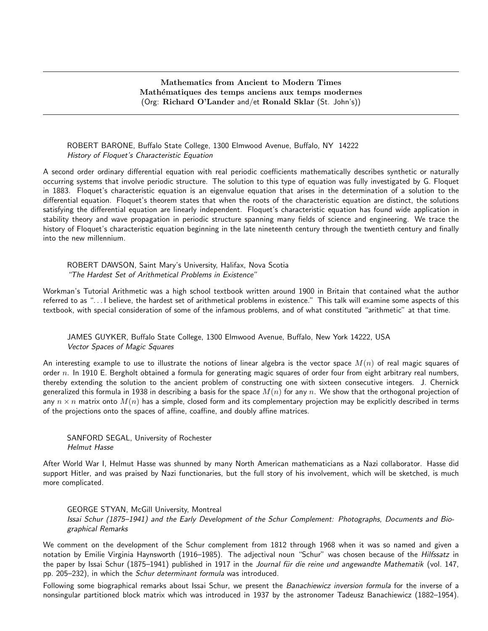## Mathematics from Ancient to Modern Times Mathématiques des temps anciens aux temps modernes (Org: Richard O'Lander and/et Ronald Sklar (St. John's))

## ROBERT BARONE, Buffalo State College, 1300 Elmwood Avenue, Buffalo, NY 14222 History of Floquet's Characteristic Equation

A second order ordinary differential equation with real periodic coefficients mathematically describes synthetic or naturally occurring systems that involve periodic structure. The solution to this type of equation was fully investigated by G. Floquet in 1883. Floquet's characteristic equation is an eigenvalue equation that arises in the determination of a solution to the differential equation. Floquet's theorem states that when the roots of the characteristic equation are distinct, the solutions satisfying the differential equation are linearly independent. Floquet's characteristic equation has found wide application in stability theory and wave propagation in periodic structure spanning many fields of science and engineering. We trace the history of Floquet's characteristic equation beginning in the late nineteenth century through the twentieth century and finally into the new millennium.

ROBERT DAWSON, Saint Mary's University, Halifax, Nova Scotia "The Hardest Set of Arithmetical Problems in Existence"

Workman's Tutorial Arithmetic was a high school textbook written around 1900 in Britain that contained what the author referred to as ". . . I believe, the hardest set of arithmetical problems in existence." This talk will examine some aspects of this textbook, with special consideration of some of the infamous problems, and of what constituted "arithmetic" at that time.

JAMES GUYKER, Buffalo State College, 1300 Elmwood Avenue, Buffalo, New York 14222, USA Vector Spaces of Magic Squares

An interesting example to use to illustrate the notions of linear algebra is the vector space  $M(n)$  of real magic squares of order  $n$ . In 1910 E. Bergholt obtained a formula for generating magic squares of order four from eight arbitrary real numbers, thereby extending the solution to the ancient problem of constructing one with sixteen consecutive integers. J. Chernick generalized this formula in 1938 in describing a basis for the space  $M(n)$  for any n. We show that the orthogonal projection of any  $n \times n$  matrix onto  $M(n)$  has a simple, closed form and its complementary projection may be explicitly described in terms of the projections onto the spaces of affine, coaffine, and doubly affine matrices.

SANFORD SEGAL, University of Rochester Helmut Hasse

After World War I, Helmut Hasse was shunned by many North American mathematicians as a Nazi collaborator. Hasse did support Hitler, and was praised by Nazi functionaries, but the full story of his involvement, which will be sketched, is much more complicated.

GEORGE STYAN, McGill University, Montreal Issai Schur (1875–1941) and the Early Development of the Schur Complement: Photographs, Documents and Biographical Remarks

We comment on the development of the Schur complement from 1812 through 1968 when it was so named and given a notation by Emilie Virginia Haynsworth (1916–1985). The adjectival noun "Schur" was chosen because of the Hilfssatz in the paper by Issai Schur (1875–1941) published in 1917 in the Journal für die reine und angewandte Mathematik (vol. 147, pp. 205–232), in which the Schur determinant formula was introduced.

Following some biographical remarks about Issai Schur, we present the Banachiewicz inversion formula for the inverse of a nonsingular partitioned block matrix which was introduced in 1937 by the astronomer Tadeusz Banachiewicz (1882–1954).